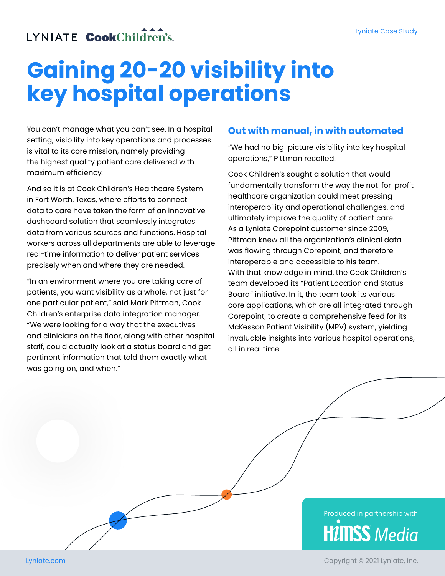# LYNIATE CookChildren's

# **Gaining 20‑20 visibility into key hospital operations**

You can't manage what you can't see. In a hospital setting, visibility into key operations and processes is vital to its core mission, namely providing the highest quality patient care delivered with maximum efficiency.

And so it is at Cook Children's Healthcare System in Fort Worth, Texas, where efforts to connect data to care have taken the form of an innovative dashboard solution that seamlessly integrates data from various sources and functions. Hospital workers across all departments are able to leverage real-time information to deliver patient services precisely when and where they are needed.

"In an environment where you are taking care of patients, you want visibility as a whole, not just for one particular patient," said Mark Pittman, Cook Children's enterprise data integration manager. "We were looking for a way that the executives and clinicians on the floor, along with other hospital staff, could actually look at a status board and get pertinent information that told them exactly what was going on, and when."

#### **Out with manual, in with automated**

"We had no big‑picture visibility into key hospital operations," Pittman recalled.

Cook Children's sought a solution that would fundamentally transform the way the not-for-profit healthcare organization could meet pressing interoperability and operational challenges, and ultimately improve the quality of patient care. As a Lyniate Corepoint customer since 2009, Pittman knew all the organization's clinical data was flowing through Corepoint, and therefore interoperable and accessible to his team. With that knowledge in mind, the Cook Children's team developed its "Patient Location and Status Board" initiative. In it, the team took its various core applications, which are all integrated through Corepoint, to create a comprehensive feed for its McKesson Patient Visibility (MPV) system, yielding invaluable insights into various hospital operations, all in real time.



Copyright © 2021 Lyniate, Inc.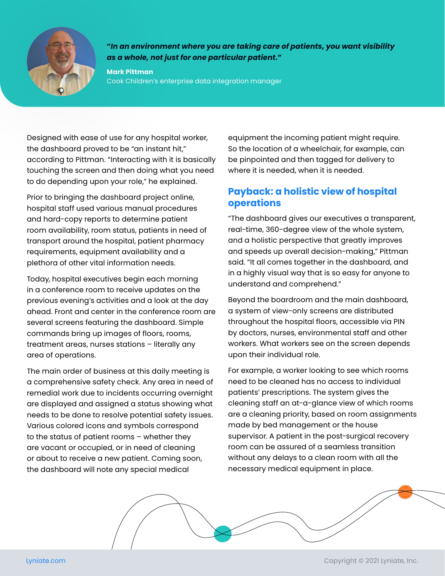

*"In an environment where you are taking care of patients, you want visibility as a whole, not just for one particular patient."*

**Mark Pittman** Cook Children's enterprise data integration manager

Designed with ease of use for any hospital worker, the dashboard proved to be "an instant hit," according to Pittman. "Interacting with it is basically touching the screen and then doing what you need to do depending upon your role," he explained.

Prior to bringing the dashboard project online, hospital staff used various manual procedures and hard‑copy reports to determine patient room availability, room status, patients in need of transport around the hospital, patient pharmacy requirements, equipment availability and a plethora of other vital information needs.

Today, hospital executives begin each morning in a conference room to receive updates on the previous evening's activities and a look at the day ahead. Front and center in the conference room are several screens featuring the dashboard. Simple commands bring up images of floors, rooms, treatment areas, nurses stations – literally any area of operations.

The main order of business at this daily meeting is a comprehensive safety check. Any area in need of remedial work due to incidents occurring overnight are displayed and assigned a status showing what needs to be done to resolve potential safety issues. Various colored icons and symbols correspond to the status of patient rooms – whether they are vacant or occupied, or in need of cleaning or about to receive a new patient. Coming soon, the dashboard will note any special medical

equipment the incoming patient might require. So the location of a wheelchair, for example, can be pinpointed and then tagged for delivery to where it is needed, when it is needed.

## **Payback: a holistic view of hospital operations**

"The dashboard gives our executives a transparent, real-time, 360-degree view of the whole system, and a holistic perspective that greatly improves and speeds up overall decision‑making," Pittman said. "It all comes together in the dashboard, and in a highly visual way that is so easy for anyone to understand and comprehend."

Beyond the boardroom and the main dashboard, a system of view‑only screens are distributed throughout the hospital floors, accessible via PIN by doctors, nurses, environmental staff and other workers. What workers see on the screen depends upon their individual role.

For example, a worker looking to see which rooms need to be cleaned has no access to individual patients' prescriptions. The system gives the cleaning staff an at‑a‑glance view of which rooms are a cleaning priority, based on room assignments made by bed management or the house supervisor. A patient in the post-surgical recovery room can be assured of a seamless transition without any delays to a clean room with all the necessary medical equipment in place.

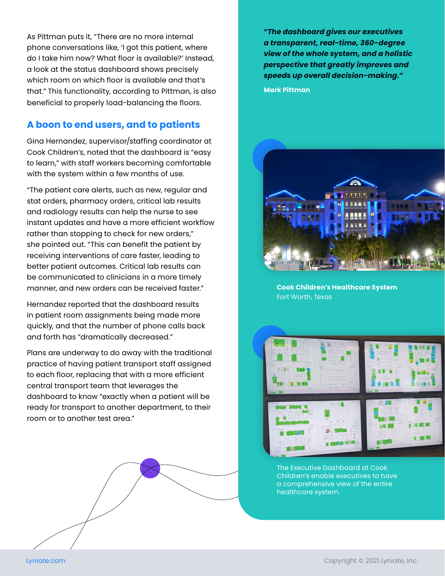As Pittman puts it, "There are no more internal phone conversations like, 'I got this patient, where do I take him now? What floor is available?' Instead, a look at the status dashboard shows precisely which room on which floor is available and that's that." This functionality, according to Pittman, is also beneficial to properly load‑balancing the floors.

### **A boon to end users, and to patients**

Gina Hernandez, supervisor/staffing coordinator at Cook Children's, noted that the dashboard is "easy to learn," with staff workers becoming comfortable with the system within a few months of use.

"The patient care alerts, such as new, regular and stat orders, pharmacy orders, critical lab results and radiology results can help the nurse to see instant updates and have a more efficient workflow rather than stopping to check for new orders," she pointed out. "This can benefit the patient by receiving interventions of care faster, leading to better patient outcomes. Critical lab results can be communicated to clinicians in a more timely manner, and new orders can be received faster."

Hernandez reported that the dashboard results in patient room assignments being made more quickly, and that the number of phone calls back and forth has "dramatically decreased."

Plans are underway to do away with the traditional practice of having patient transport staff assigned to each floor, replacing that with a more efficient central transport team that leverages the dashboard to know "exactly when a patient will be ready for transport to another department, to their room or to another test area."



*"The dashboard gives our executives a transparent, real‑time, 360‑degree view of the whole system, and a holistic perspective that greatly improves and speeds up overall decision‑making."* **Mark Pittman**



**Cook Children's Healthcare System** Fort Worth, Texas



The Executive Dashboard at Cook Children's enable executives to have a comprehensive view of the entire healthcare system.